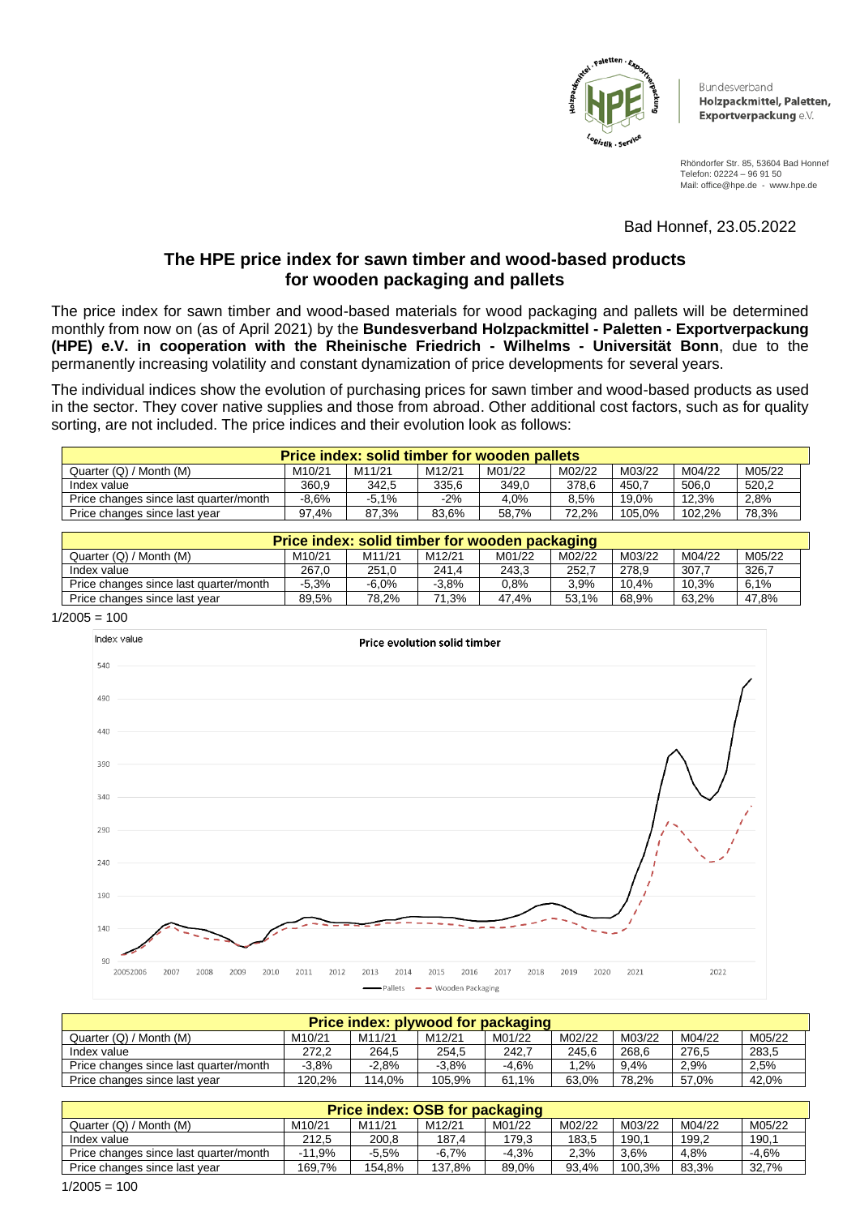

**Bundesverband** Holzpackmittel, Paletten, Exportverpackung e.V.

Rhöndorfer Str. 85, 53604 Bad Honnef Telefon: 02224 – 96 91 50 Mail: office@hpe.de - www.hpe.de

Bad Honnef, 23.05.2022

# **The HPE price index for sawn timber and wood-based products for wooden packaging and pallets**

The price index for sawn timber and wood-based materials for wood packaging and pallets will be determined monthly from now on (as of April 2021) by the **Bundesverband Holzpackmittel - Paletten - Exportverpackung (HPE) e.V. in cooperation with the Rheinische Friedrich - Wilhelms - Universität Bonn**, due to the permanently increasing volatility and constant dynamization of price developments for several years.

The individual indices show the evolution of purchasing prices for sawn timber and wood-based products as used in the sector. They cover native supplies and those from abroad. Other additional cost factors, such as for quality sorting, are not included. The price indices and their evolution look as follows:

| Price index: solid timber for wooden pallets |                     |         |        |        |        |        |        |        |  |
|----------------------------------------------|---------------------|---------|--------|--------|--------|--------|--------|--------|--|
| Quarter (Q) / Month (M)                      | M <sub>10</sub> /21 | M11/21  | M12/21 | M01/22 | M02/22 | M03/22 | M04/22 | M05/22 |  |
| Index value                                  | 360.9               | 342.5   | 335,6  | 349.0  | 378.6  | 450.7  | 506.0  | 520,2  |  |
| Price changes since last quarter/month       | $-8.6%$             | $-5.1%$ | -2%    | 4,0%   | 8,5%   | 19.0%  | 12,3%  | 2,8%   |  |
| Price changes since last year                | 97.4%               | 87.3%   | 83.6%  | 58.7%  | 72.2%  | 105.0% | 102.2% | 78,3%  |  |

| Price index: solid timber for wooden packaging |                     |         |                     |         |        |        |        |        |  |
|------------------------------------------------|---------------------|---------|---------------------|---------|--------|--------|--------|--------|--|
| Quarter (Q) / Month (M)                        | M <sub>10</sub> /21 | M11/21  | M <sub>12</sub> /21 | M01/22  | M02/22 | M03/22 | M04/22 | M05/22 |  |
| Index value                                    | 267.0               | 251.0   | 241,4               | 243.3   | 252.7  | 278.9  | 307.7  | 326.7  |  |
| Price changes since last quarter/month         | $-5.3%$             | $-6.0%$ | $-3.8%$             | $0.8\%$ | 3.9%   | 10.4%  | 10,3%  | 6.1%   |  |
| Price changes since last year                  | 89.5%               | 78.2%   | 71.3%               | 47.4%   | 53.1%  | 68.9%  | 63.2%  | 47.8%  |  |

 $1/2005 = 100$ 



| Price index: plywood for packaging     |                     |         |                     |         |        |        |        |        |  |
|----------------------------------------|---------------------|---------|---------------------|---------|--------|--------|--------|--------|--|
| Quarter (Q) / Month (M)                | M <sub>10</sub> /21 | M11/21  | M <sub>12</sub> /21 | M01/22  | M02/22 | M03/22 | M04/22 | M05/22 |  |
| Index value                            | 272.2               | 264.5   | 254,5               | 242.7   | 245.6  | 268,6  | 276,5  | 283,5  |  |
| Price changes since last quarter/month | $-3.8\%$            | $-2.8%$ | $-3.8%$             | $-4.6%$ | .2%    | 9.4%   | 2,9%   | 2,5%   |  |
| Price changes since last year          | 120.2%              | 114.0%  | 105.9%              | 61.1%   | 63.0%  | 78.2%  | 57.0%  | 42.0%  |  |

| Price index: OSB for packaging         |                     |         |                     |         |        |        |        |         |  |
|----------------------------------------|---------------------|---------|---------------------|---------|--------|--------|--------|---------|--|
| Quarter (Q) / Month (M)                | M <sub>10</sub> /21 | M11/21  | M <sub>12</sub> /21 | M01/22  | M02/22 | M03/22 | M04/22 | M05/22  |  |
| Index value                            | 212.5               | 200.8   | 187,4               | 179,3   | 183.5  | 190.1  | 199,2  | 190,1   |  |
| Price changes since last quarter/month | $-11.9%$            | $-5.5%$ | $-6.7%$             | $-4.3%$ | 2.3%   | 3.6%   | 4,8%   | $-4.6%$ |  |
| Price changes since last year          | 169.7%              | 154,8%  | 137,8%              | 89.0%   | 93.4%  | 100.3% | 83,3%  | 32,7%   |  |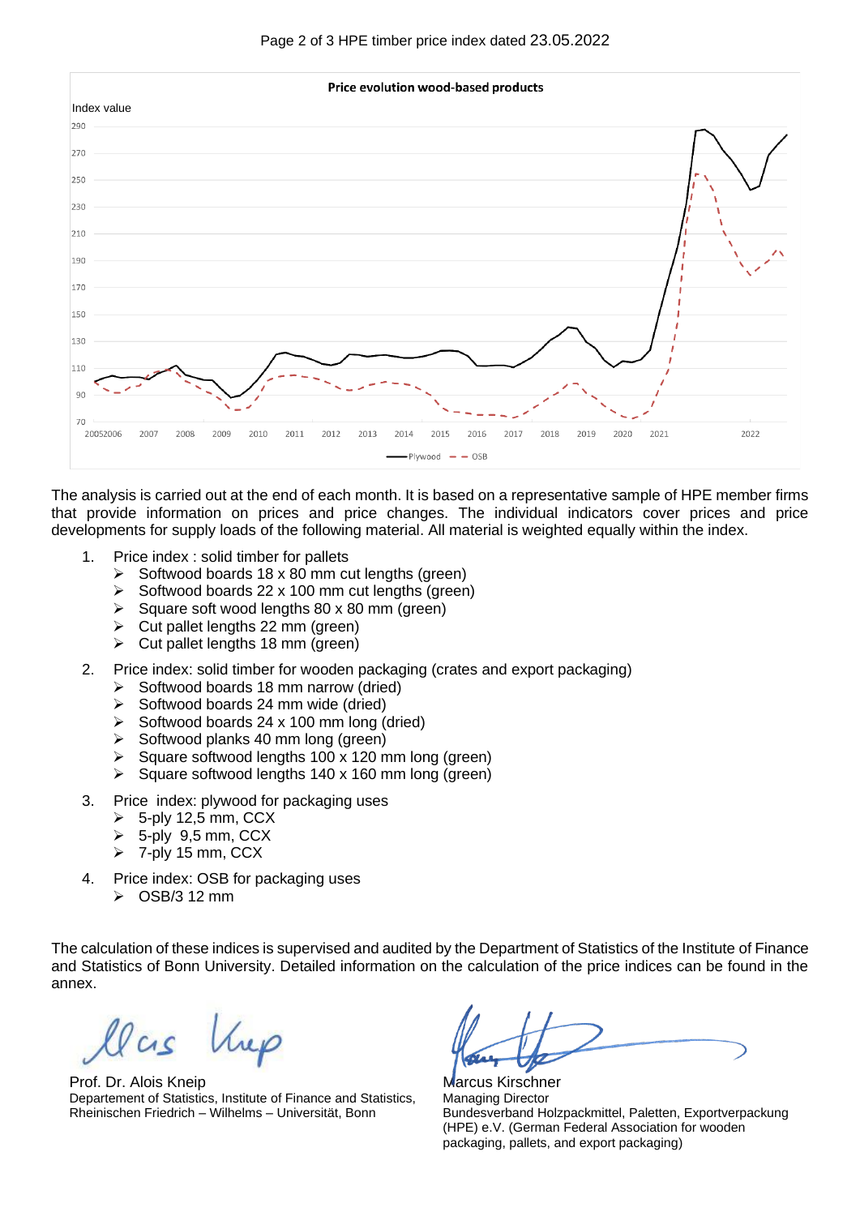



The analysis is carried out at the end of each month. It is based on a representative sample of HPE member firms that provide information on prices and price changes. The individual indicators cover prices and price developments for supply loads of the following material. All material is weighted equally within the index.

- 1. Price index : solid timber for pallets
	- $\triangleright$  Softwood boards 18 x 80 mm cut lengths (green)
	- ➢ Softwood boards 22 x 100 mm cut lengths (green)
	- ➢ Square soft wood lengths 80 x 80 mm (green)
	- $\triangleright$  Cut pallet lengths 22 mm (green)
	- $\triangleright$  Cut pallet lengths 18 mm (green)
- 2. Price index: solid timber for wooden packaging (crates and export packaging)
	- ➢ Softwood boards 18 mm narrow (dried)
	- $\triangleright$  Softwood boards 24 mm wide (dried)
	- $\triangleright$  Softwood boards 24 x 100 mm long (dried)
	- ➢ Softwood planks 40 mm long (green)
	- $\triangleright$  Square softwood lengths 100 x 120 mm long (green)
	- ➢ Square softwood lengths 140 x 160 mm long (green)
- 3. Price index: plywood for packaging uses
	- $\geqslant$  5-ply 12.5 mm, CCX
	- ➢ 5-ply 9,5 mm, CCX
	- $\triangleright$  7-ply 15 mm, CCX
- 4. Price index: OSB for packaging uses
	- $\geq$  OSB/3 12 mm

The calculation of these indices is supervised and audited by the Department of Statistics of the Institute of Finance and Statistics of Bonn University. Detailed information on the calculation of the price indices can be found in the annex.

Vree

Prof. Dr. Alois Kneip Departement of Statistics, Institute of Finance and Statistics, Rheinischen Friedrich – Wilhelms – Universität, Bonn

Marcus Kirschner Managing Director Bundesverband Holzpackmittel, Paletten, Exportverpackung (HPE) e.V. (German Federal Association for wooden packaging, pallets, and export packaging)